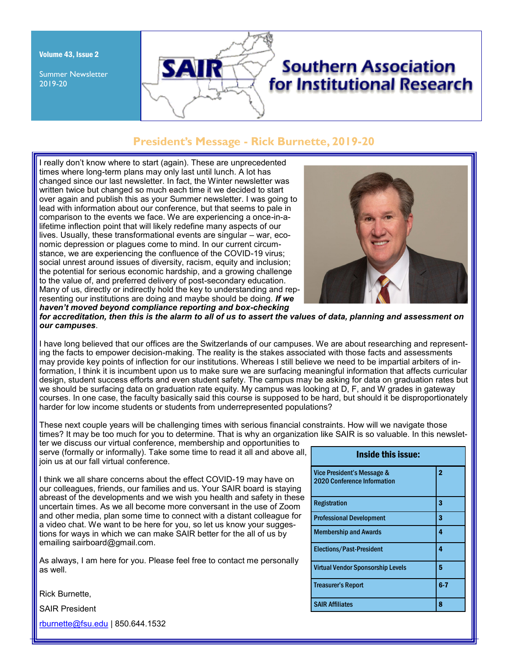Volume 43, Issue 2

Summer Newsletter 2019-20

# **Southern Association** for Institutional Research

# **President's Message - Rick Burnette, 2019-20**

I really don't know where to start (again). These are unprecedented times where long-term plans may only last until lunch. A lot has changed since our last newsletter. In fact, the Winter newsletter was written twice but changed so much each time it we decided to start over again and publish this as your Summer newsletter. I was going to lead with information about our conference, but that seems to pale in comparison to the events we face. We are experiencing a once-in-alifetime inflection point that will likely redefine many aspects of our lives. Usually, these transformational events are singular – war, economic depression or plagues come to mind. In our current circumstance, we are experiencing the confluence of the COVID-19 virus; social unrest around issues of diversity, racism, equity and inclusion; the potential for serious economic hardship, and a growing challenge to the value of, and preferred delivery of post-secondary education. Many of us, directly or indirectly hold the key to understanding and representing our institutions are doing and maybe should be doing. *If we haven't moved beyond compliance reporting and box-checking* 

SA



*for accreditation, then this is the alarm to all of us to assert the values of data, planning and assessment on our campuses*.

I have long believed that our offices are the Switzerlands of our campuses. We are about researching and representing the facts to empower decision-making. The reality is the stakes associated with those facts and assessments may provide key points of inflection for our institutions. Whereas I still believe we need to be impartial arbiters of information, I think it is incumbent upon us to make sure we are surfacing meaningful information that affects curricular design, student success efforts and even student safety. The campus may be asking for data on graduation rates but we should be surfacing data on graduation rate equity. My campus was looking at D, F, and W grades in gateway courses. In one case, the faculty basically said this course is supposed to be hard, but should it be disproportionately harder for low income students or students from underrepresented populations?

These next couple years will be challenging times with serious financial constraints. How will we navigate those times? It may be too much for you to determine. That is why an organization like SAIR is so valuable. In this newslet-

ter we discuss our virtual conference, membership and opportunities to serve (formally or informally). Take some time to read it all and above all, join us at our fall virtual conference.

I think we all share concerns about the effect COVID-19 may have on our colleagues, friends, our families and us. Your SAIR board is staying abreast of the developments and we wish you health and safety in these uncertain times. As we all become more conversant in the use of Zoom and other media, plan some time to connect with a distant colleague for a video chat. We want to be here for you, so let us know your suggestions for ways in which we can make SAIR better for the all of us by emailing sairboard@gmail.com.

As always, I am here for you. Please feel free to contact me personally as well.

Inside this issue: Vice President's Message & 2020 Conference Information 2 Registration and 3 Professional Development 3 Membership and Awards **4** Elections/Past-President 4 Virtual Vendor Sponsorship Levels **5** Treasurer's Report 6-7 SAIR Affiliates **8** 

Rick Burnette,

SAIR President

[rburnette@fsu.edu](mailto:rburnette@fsu.edu) | 850.644.1532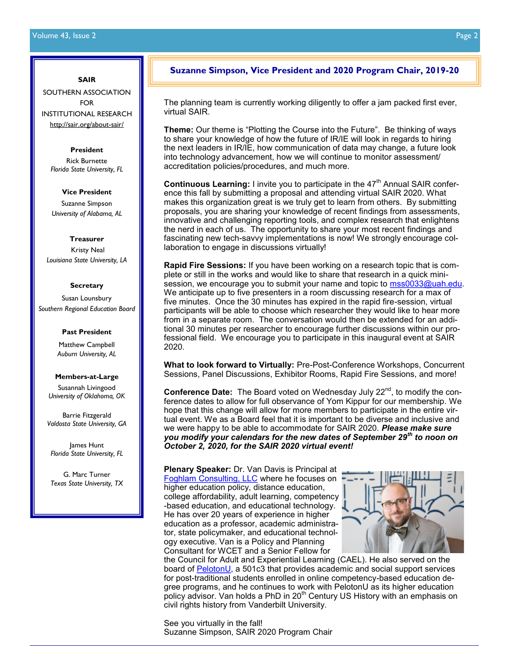#### **SAIR**

SOUTHERN ASSOCIATION FOR INSTITUTIONAL RESEARCH [http://sair.org/about-sair/](http://www.sair.org)

#### **[President](http://www.sair.org)**

[Rick Burnette](http://www.sair.org) *[Florida State University, FL](http://www.sair.org)*

#### **[Vice President](http://www.sair.org)**

[Suzanne Simpson](http://www.sair.org) *[University of Alabama, AL](http://www.sair.org)*

#### **[Treasurer](http://www.sair.org)**

[Kristy Neal](http://www.sair.org) *[Louisiana State University, LA](http://www.sair.org)*

#### **[Secretary](http://www.sair.org)**

[Susan Lounsbury](http://www.sair.org) *[Southern Regional Education Board](http://www.sair.org)*

#### **[Past President](http://www.sair.org)**

[Matthew Campbell](http://www.sair.org) *[Auburn University, AL](http://www.sair.org)*

#### **[Members-at-Large](http://www.sair.org)**

[Susannah Livingood](http://www.sair.org) *[University of Oklahoma, OK](http://www.sair.org)*

[Barrie Fitzgerald](http://www.sair.org) *[Valdosta State University, GA](http://www.sair.org)*

James Hunt *Florida State University, FL*

G. Marc Turner *Texas State University, TX*

# **Suzanne Simpson, Vice President and 2020 Program Chair, 2019-20**

The planning team is currently working diligently to offer a jam packed first ever, virtual SAIR.

**Theme:** Our theme is "Plotting the Course into the Future". Be thinking of ways to share your knowledge of how the future of IR/IE will look in regards to hiring the next leaders in IR/IE, how communication of data may change, a future look into technology advancement, how we will continue to monitor assessment/ accreditation policies/procedures, and much more.

**Continuous Learning:** I invite you to participate in the 47<sup>th</sup> Annual SAIR conference this fall by submitting a proposal and attending virtual SAIR 2020. What makes this organization great is we truly get to learn from others. By submitting proposals, you are sharing your knowledge of recent findings from assessments, innovative and challenging reporting tools, and complex research that enlightens the nerd in each of us. The opportunity to share your most recent findings and fascinating new tech-savvy implementations is now! We strongly encourage collaboration to engage in discussions virtually!

**Rapid Fire Sessions:** If you have been working on a research topic that is complete or still in the works and would like to share that research in a quick minisession, we encourage you to submit your name and topic to mss0033@uah.edu. We anticipate up to five presenters in a room discussing research for a max of five minutes. Once the 30 minutes has expired in the rapid fire-session, virtual participants will be able to choose which researcher they would like to hear more from in a separate room. The conversation would then be extended for an additional 30 minutes per researcher to encourage further discussions within our professional field. We encourage you to participate in this inaugural event at SAIR 2020.

**What to look forward to Virtually:** Pre-Post-Conference Workshops, Concurrent Sessions, Panel Discussions, Exhibitor Rooms, Rapid Fire Sessions, and more!

**Conference Date:** The Board voted on Wednesday July 22<sup>nd</sup>, to modify the conference dates to allow for full observance of Yom Kippur for our membership. We hope that this change will allow for more members to participate in the entire virtual event. We as a Board feel that it is important to be diverse and inclusive and we were happy to be able to accommodate for SAIR 2020. *Please make sure you modify your calendars for the new dates of September 29th to noon on October 2, 2020, for the SAIR 2020 virtual event!*

**Plenary Speaker:** Dr. Van Davis is Principal at [Foghlam Consulting, LLC](http://www.foghlamconsulting.com) where he focuses on higher education policy, distance education, college affordability, adult learning, competency -based education, and educational technology. He has over 20 years of experience in higher education as a professor, academic administrator, state policymaker, and educational technology executive. Van is a Policy and Planning Consultant for WCET and a Senior Fellow for



the Council for Adult and Experiential Learning (CAEL). He also served on the board of [PelotonU,](https://pelotonu.org/) a 501c3 that provides academic and social support services for post-traditional students enrolled in online competency-based education degree programs, and he continues to work with PelotonU as its higher education policy advisor. Van holds a PhD in 20<sup>th</sup> Century US History with an emphasis on civil rights history from Vanderbilt University.

See you virtually in the fall! Suzanne Simpson, SAIR 2020 Program Chair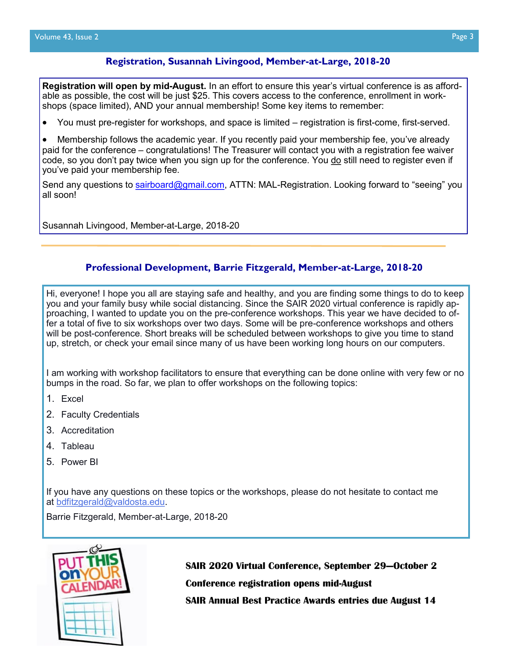# **Registration, Susannah Livingood, Member-at-Large, 2018-20**

**Registration will open by mid-August.** In an effort to ensure this year's virtual conference is as affordable as possible, the cost will be just \$25. This covers access to the conference, enrollment in workshops (space limited), AND your annual membership! Some key items to remember:

• You must pre-register for workshops, and space is limited – registration is first-come, first-served.

• Membership follows the academic year. If you recently paid your membership fee, you've already paid for the conference – congratulations! The Treasurer will contact you with a registration fee waiver code, so you don't pay twice when you sign up for the conference. You do still need to register even if you've paid your membership fee.

Send any questions to [sairboard@gmail.com,](mailto:sairboard@gmail.com) ATTN: MAL-Registration. Looking forward to "seeing" you all soon!

Susannah Livingood, Member-at-Large, 2018-20

## **Professional Development, Barrie Fitzgerald, Member-at-Large, 2018-20**

Hi, everyone! I hope you all are staying safe and healthy, and you are finding some things to do to keep you and your family busy while social distancing. Since the SAIR 2020 virtual conference is rapidly approaching, I wanted to update you on the pre-conference workshops. This year we have decided to offer a total of five to six workshops over two days. Some will be pre-conference workshops and others will be post-conference. Short breaks will be scheduled between workshops to give you time to stand up, stretch, or check your email since many of us have been working long hours on our computers.

I am working with workshop facilitators to ensure that everything can be done online with very few or no bumps in the road. So far, we plan to offer workshops on the following topics:

- 1. Excel
- 2. Faculty Credentials
- 3. Accreditation
- 4. Tableau
- 5. Power BI

If you have any questions on these topics or the workshops, please do not hesitate to contact me at [bdfitzgerald@valdosta.edu.](mailto:bdfitzgerald@valdosta.edu)

Barrie Fitzgerald, Member-at-Large, 2018-20



**SAIR 2020 Virtual Conference, September 29—October 2 Conference registration opens mid-August** 

**SAIR Annual Best Practice Awards entries due August 14**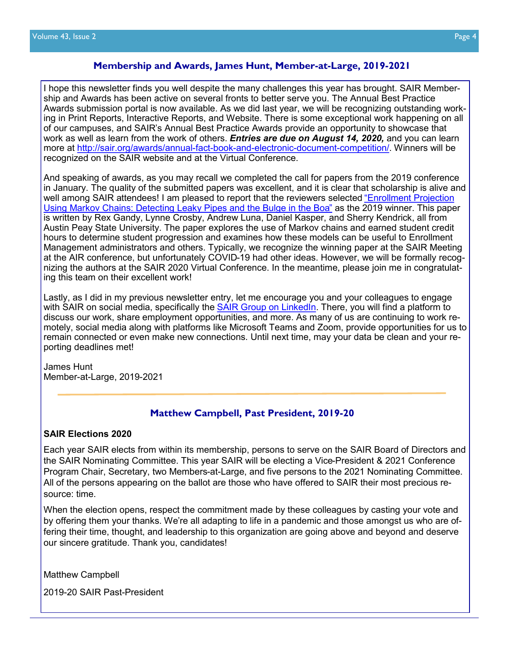## **Membership and Awards, James Hunt, Member-at-Large, 2019-2021**

I hope this newsletter finds you well despite the many challenges this year has brought. SAIR Membership and Awards has been active on several fronts to better serve you. The Annual Best Practice Awards submission portal is now available. As we did last year, we will be recognizing outstanding working in Print Reports, Interactive Reports, and Website. There is some exceptional work happening on all of our campuses, and SAIR's Annual Best Practice Awards provide an opportunity to showcase that work as well as learn from the work of others. *Entries are due on August 14, 2020,* and you can learn more at [http://sair.org/awards/annual](http://sair.org/awards/annual-fact-book-and-electronic-document-competition/)-fact-book-and-electronic-document-competition/. Winners will be recognized on the SAIR website and at the Virtual Conference.

And speaking of awards, as you may recall we completed the call for papers from the 2019 conference in January. The quality of the submitted papers was excellent, and it is clear that scholarship is alive and well among SAIR attendees! I am pleased to report that the reviewers selected "Enrollment Projection [Using Markov Chains: Detecting Leaky Pipes and the Bulge in the Boa](https://www.airweb.org/docs/default-source/documents-for-pages/reports-and-publications/professional-file/articles/apf-147-2019-fall_enrollment-projection-using-markov-chains.pdf?sfvrsn=594264c0_2)" as the 2019 winner. This paper is written by Rex Gandy, Lynne Crosby, Andrew Luna, Daniel Kasper, and Sherry Kendrick, all from Austin Peay State University. The paper explores the use of Markov chains and earned student credit hours to determine student progression and examines how these models can be useful to Enrollment Management administrators and others. Typically, we recognize the winning paper at the SAIR Meeting at the AIR conference, but unfortunately COVID-19 had other ideas. However, we will be formally recognizing the authors at the SAIR 2020 Virtual Conference. In the meantime, please join me in congratulating this team on their excellent work!

Lastly, as I did in my previous newsletter entry, let me encourage you and your colleagues to engage with SAIR on social media, specifically the [SAIR Group on LinkedIn.](https://www.linkedin.com/groups/2412194/) There, you will find a platform to discuss our work, share employment opportunities, and more. As many of us are continuing to work remotely, social media along with platforms like Microsoft Teams and Zoom, provide opportunities for us to remain connected or even make new connections. Until next time, may your data be clean and your reporting deadlines met!

James Hunt Member-at-Large, 2019-2021

# **Matthew Campbell, Past President, 2019-20**

#### **SAIR Elections 2020**

Each year SAIR elects from within its membership, persons to serve on the SAIR Board of Directors and the SAIR Nominating Committee. This year SAIR will be electing a Vice-President & 2021 Conference Program Chair, Secretary, two Members-at-Large, and five persons to the 2021 Nominating Committee. All of the persons appearing on the ballot are those who have offered to SAIR their most precious resource: time.

When the election opens, respect the commitment made by these colleagues by casting your vote and by offering them your thanks. We're all adapting to life in a pandemic and those amongst us who are offering their time, thought, and leadership to this organization are going above and beyond and deserve our sincere gratitude. Thank you, candidates!

Matthew Campbell

2019-20 SAIR Past-President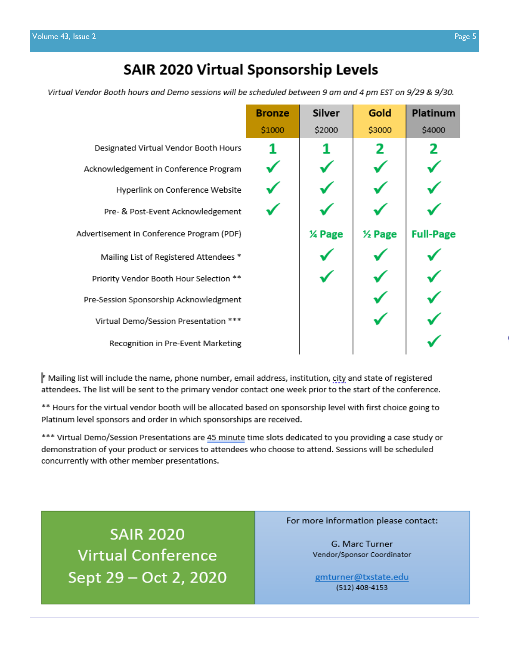# **SAIR 2020 Virtual Sponsorship Levels**

Virtual Vendor Booth hours and Demo sessions will be scheduled between 9 am and 4 pm EST on 9/29 & 9/30.

|                                           | <b>Bronze</b> | Silver | Gold   | <b>Platinum</b>  |
|-------------------------------------------|---------------|--------|--------|------------------|
|                                           | \$1000        | \$2000 | \$3000 | \$4000           |
| Designated Virtual Vendor Booth Hours     |               |        | 2      |                  |
| Acknowledgement in Conference Program     |               |        |        |                  |
| Hyperlink on Conference Website           |               |        |        |                  |
| Pre- & Post-Event Acknowledgement         |               |        |        |                  |
| Advertisement in Conference Program (PDF) |               | % Page | % Page | <b>Full-Page</b> |
| Mailing List of Registered Attendees *    |               |        |        |                  |
| Priority Vendor Booth Hour Selection **   |               |        |        |                  |
| Pre-Session Sponsorship Acknowledgment    |               |        |        |                  |
| Virtual Demo/Session Presentation ***     |               |        |        |                  |
| Recognition in Pre-Event Marketing        |               |        |        |                  |

Mailing list will include the name, phone number, email address, institution, city and state of registered attendees. The list will be sent to the primary vendor contact one week prior to the start of the conference.

\*\* Hours for the virtual vendor booth will be allocated based on sponsorship level with first choice going to Platinum level sponsors and order in which sponsorships are received.

\*\*\* Virtual Demo/Session Presentations are 45 minute time slots dedicated to you providing a case study or demonstration of your product or services to attendees who choose to attend. Sessions will be scheduled concurrently with other member presentations.

**SAIR 2020 Virtual Conference** Sept 29 - Oct 2, 2020 For more information please contact:

G. Marc Turner Vendor/Sponsor Coordinator

gmturner@txstate.edu (512) 408-4153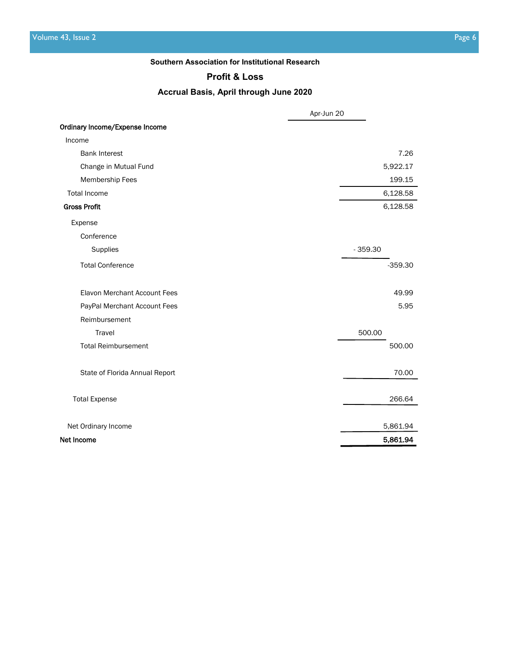#### **Southern Association for Institutional Research**

# **Profit & Loss**

# **Accrual Basis, April through June 2020**

|                                     | Apr-Jun 20 |
|-------------------------------------|------------|
| Ordinary Income/Expense Income      |            |
| Income                              |            |
| <b>Bank Interest</b>                | 7.26       |
| Change in Mutual Fund               | 5,922.17   |
| Membership Fees                     | 199.15     |
| <b>Total Income</b>                 | 6,128.58   |
| <b>Gross Profit</b>                 | 6,128.58   |
| Expense                             |            |
| Conference                          |            |
| Supplies                            | $-359.30$  |
| <b>Total Conference</b>             | $-359.30$  |
| <b>Elavon Merchant Account Fees</b> | 49.99      |
| PayPal Merchant Account Fees        | 5.95       |
| Reimbursement                       |            |
| Travel                              | 500.00     |
| <b>Total Reimbursement</b>          | 500.00     |
| State of Florida Annual Report      | 70.00      |
| <b>Total Expense</b>                | 266.64     |
| Net Ordinary Income                 | 5,861.94   |
| Net Income                          | 5,861.94   |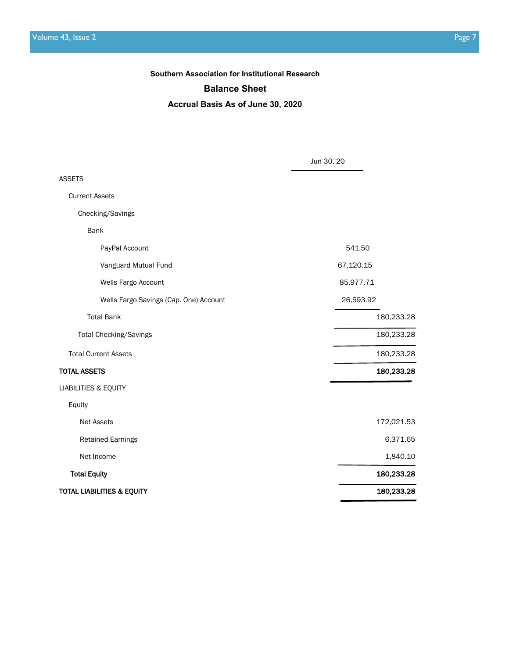#### **Balance Sheet**

**Accrual Basis As of June 30, 2020**

|                                        | Jun 30, 20 |
|----------------------------------------|------------|
| <b>ASSETS</b>                          |            |
| <b>Current Assets</b>                  |            |
| Checking/Savings                       |            |
| <b>Bank</b>                            |            |
| PayPal Account                         | 541.50     |
| Vanguard Mutual Fund                   | 67,120.15  |
| Wells Fargo Account                    | 85,977.71  |
| Wells Fargo Savings (Cap. One) Account | 26,593.92  |
| <b>Total Bank</b>                      | 180,233.28 |
| Total Checking/Savings                 | 180,233.28 |
| <b>Total Current Assets</b>            | 180,233.28 |
| <b>TOTAL ASSETS</b>                    | 180,233.28 |
| <b>LIABILITIES &amp; EQUITY</b>        |            |
| Equity                                 |            |
| <b>Net Assets</b>                      | 172,021.53 |
| <b>Retained Earnings</b>               | 6,371.65   |
| Net Income                             | 1,840.10   |
| <b>Total Equity</b>                    | 180,233.28 |
| TOTAL LIABILITIES & EQUITY             | 180,233.28 |